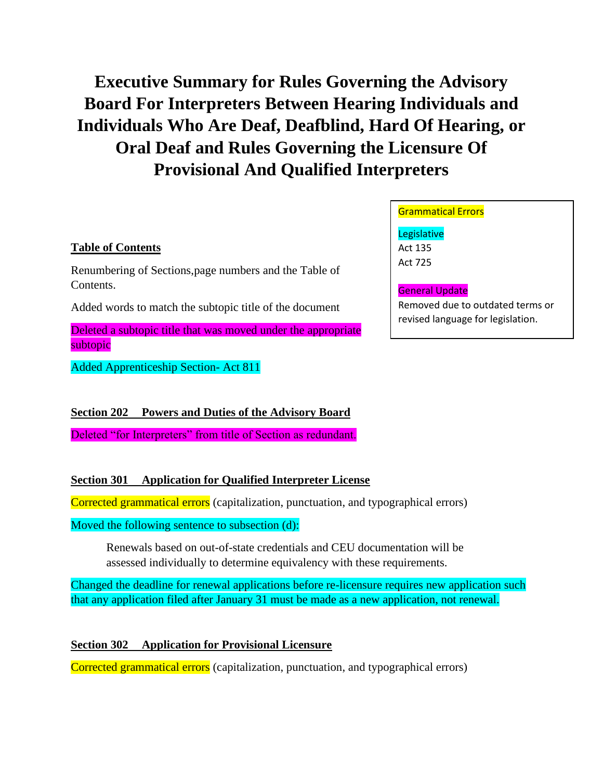# **Executive Summary for Rules Governing the Advisory Board For Interpreters Between Hearing Individuals and Individuals Who Are Deaf, Deafblind, Hard Of Hearing, or Oral Deaf and Rules Governing the Licensure Of Provisional And Qualified Interpreters**

## **Table of Contents**

Renumbering of Sections,page numbers and the Table of Contents.

Added words to match the subtopic title of the document

Deleted a subtopic title that was moved under the appropriate subtopic

Added Apprenticeship Section- Act 811

**Section 202 Powers and Duties of the Advisory Board**

Deleted "for Interpreters" from title of Section as redundant.

# **Section 301 Application for Qualified Interpreter License**

Corrected grammatical errors (capitalization, punctuation, and typographical errors)

Moved the following sentence to subsection (d):

Renewals based on out-of-state credentials and CEU documentation will be assessed individually to determine equivalency with these requirements.

Changed the deadline for renewal applications before re-licensure requires new application such that any application filed after January 31 must be made as a new application, not renewal.

# **Section 302 Application for Provisional Licensure**

Corrected grammatical errors (capitalization, punctuation, and typographical errors)

## Grammatical Errors

**Legislative** Act 135 Act 725

#### General Update

Removed due to outdated terms or revised language for legislation.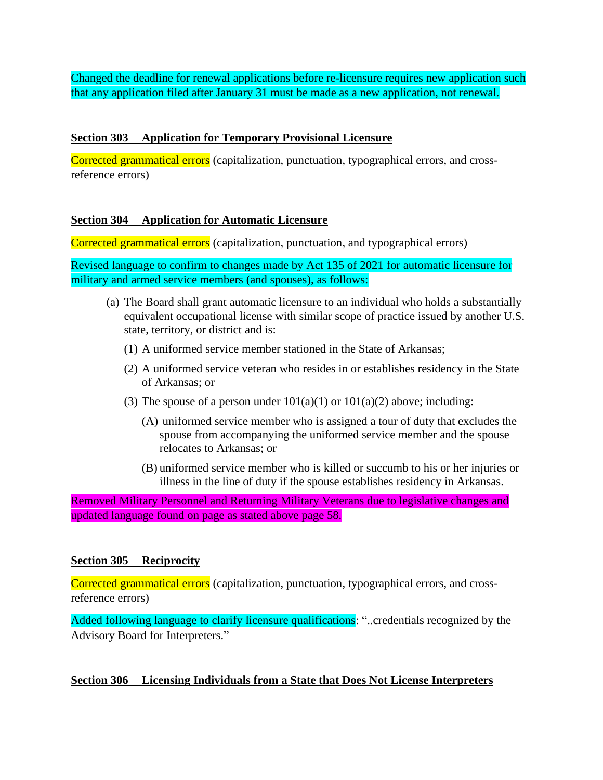Changed the deadline for renewal applications before re-licensure requires new application such that any application filed after January 31 must be made as a new application, not renewal.

## **Section 303 Application for Temporary Provisional Licensure**

Corrected grammatical errors (capitalization, punctuation, typographical errors, and crossreference errors)

## **Section 304 Application for Automatic Licensure**

Corrected grammatical errors (capitalization, punctuation, and typographical errors)

Revised language to confirm to changes made by Act 135 of 2021 for automatic licensure for military and armed service members (and spouses), as follows:

- <span id="page-1-1"></span><span id="page-1-0"></span>(a) The Board shall grant automatic licensure to an individual who holds a substantially equivalent occupational license with similar scope of practice issued by another U.S. state, territory, or district and is:
	- (1) A uniformed service member stationed in the State of Arkansas;
	- (2) A uniformed service veteran who resides in or establishes residency in the State of Arkansas; or
	- (3) The spouse of a person under  $101(a)(1)$  or  $101(a)(2)$  above; including:
		- (A) uniformed service member who is assigned a tour of duty that excludes the spouse from accompanying the uniformed service member and the spouse relocates to Arkansas; or
		- (B) uniformed service member who is killed or succumb to his or her injuries or illness in the line of duty if the spouse establishes residency in Arkansas.

Removed Military Personnel and Returning Military Veterans due to legislative changes and updated language found on page as stated above page 58.

## **Section 305 Reciprocity**

Corrected grammatical errors (capitalization, punctuation, typographical errors, and crossreference errors)

Added following language to clarify licensure qualifications: "..credentials recognized by the Advisory Board for Interpreters."

# **Section 306 Licensing Individuals from a State that Does Not License Interpreters**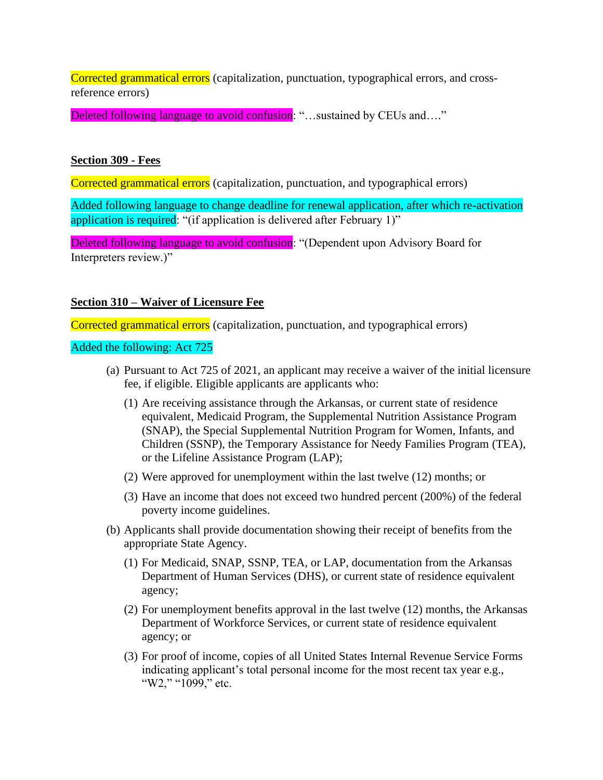Corrected grammatical errors (capitalization, punctuation, typographical errors, and crossreference errors)

Deleted following language to avoid confusion: "...sustained by CEUs and...."

## **Section 309 - Fees**

Corrected grammatical errors (capitalization, punctuation, and typographical errors)

Added following language to change deadline for renewal application, after which re-activation application is required: "(if application is delivered after February 1)"

Deleted following language to avoid confusion: "(Dependent upon Advisory Board for Interpreters review.)"

## **Section 310 – Waiver of Licensure Fee**

Corrected grammatical errors (capitalization, punctuation, and typographical errors)

## Added the following: Act 725

- (a) Pursuant to Act 725 of 2021, an applicant may receive a waiver of the initial licensure fee, if eligible. Eligible applicants are applicants who:
	- (1) Are receiving assistance through the Arkansas, or current state of residence equivalent, Medicaid Program, the Supplemental Nutrition Assistance Program (SNAP), the Special Supplemental Nutrition Program for Women, Infants, and Children (SSNP), the Temporary Assistance for Needy Families Program (TEA), or the Lifeline Assistance Program (LAP);
	- (2) Were approved for unemployment within the last twelve (12) months; or
	- (3) Have an income that does not exceed two hundred percent (200%) of the federal poverty income guidelines.
- <span id="page-2-0"></span>(b) Applicants shall provide documentation showing their receipt of benefits from the appropriate State Agency.
	- (1) For Medicaid, SNAP, SSNP, TEA, or LAP, documentation from the Arkansas Department of Human Services (DHS), or current state of residence equivalent agency;
	- (2) For unemployment benefits approval in the last twelve (12) months, the Arkansas Department of Workforce Services, or current state of residence equivalent agency; or
	- (3) For proof of income, copies of all United States Internal Revenue Service Forms indicating applicant's total personal income for the most recent tax year e.g., "W2," "1099," etc.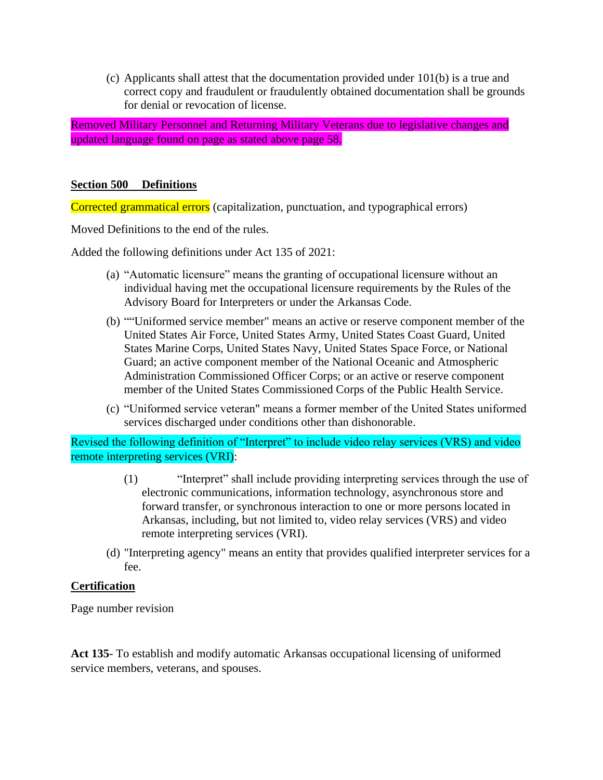(c) Applicants shall attest that the documentation provided under [101\(b\)](#page-2-0) is a true and correct copy and fraudulent or fraudulently obtained documentation shall be grounds for denial or revocation of license.

Removed Military Personnel and Returning Military Veterans due to legislative changes and updated language found on page as stated above page 58.

## **Section 500 Definitions**

Corrected grammatical errors (capitalization, punctuation, and typographical errors)

Moved Definitions to the end of the rules.

Added the following definitions under Act 135 of 2021:

- (a) "Automatic licensure" means the granting of occupational licensure without an individual having met the occupational licensure requirements by the Rules of the Advisory Board for Interpreters or under the Arkansas Code.
- (b) ""Uniformed service member" means an active or reserve component member of the United States Air Force, United States Army, United States Coast Guard, United States Marine Corps, United States Navy, United States Space Force, or National Guard; an active component member of the National Oceanic and Atmospheric Administration Commissioned Officer Corps; or an active or reserve component member of the United States Commissioned Corps of the Public Health Service.
- (c) "Uniformed service veteran" means a former member of the United States uniformed services discharged under conditions other than dishonorable.

Revised the following definition of "Interpret" to include video relay services (VRS) and video remote interpreting services (VRI):

- (1) "Interpret" shall include providing interpreting services through the use of electronic communications, information technology, asynchronous store and forward transfer, or synchronous interaction to one or more persons located in Arkansas, including, but not limited to, video relay services (VRS) and video remote interpreting services (VRI).
- (d) "Interpreting agency" means an entity that provides qualified interpreter services for a fee.

#### **Certification**

Page number revision

**Act 135**- To establish and modify automatic Arkansas occupational licensing of uniformed service members, veterans, and spouses.